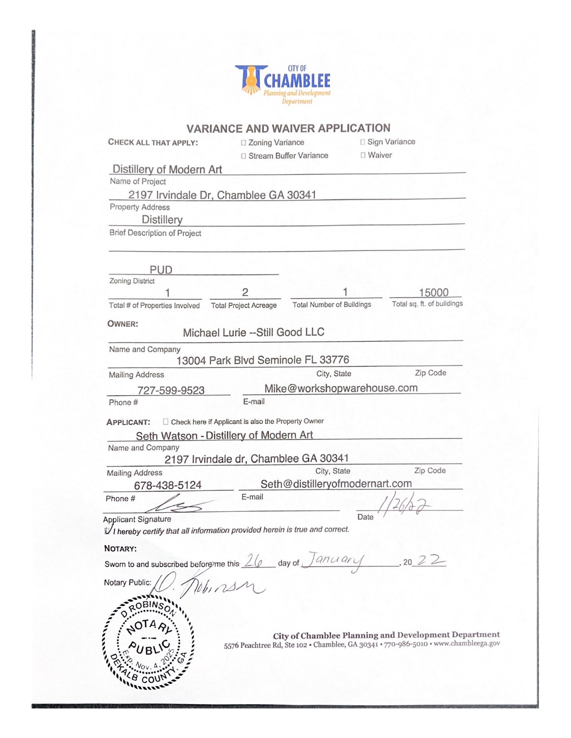

|                                                                                     |                                                      | <b>VARIANCE AND WAIVER APPLICATION</b> |                             |  |
|-------------------------------------------------------------------------------------|------------------------------------------------------|----------------------------------------|-----------------------------|--|
| <b>CHECK ALL THAT APPLY:</b>                                                        | □ Zoning Variance                                    |                                        | □ Sign Variance<br>□ Waiver |  |
|                                                                                     | □ Stream Buffer Variance                             |                                        |                             |  |
| Distillery of Modern Art                                                            |                                                      |                                        |                             |  |
| Name of Project                                                                     |                                                      |                                        |                             |  |
| 2197 Irvindale Dr, Chamblee GA 30341                                                |                                                      |                                        |                             |  |
| <b>Property Address</b>                                                             |                                                      |                                        |                             |  |
| <b>Distillery</b>                                                                   |                                                      |                                        |                             |  |
| <b>Brief Description of Project</b>                                                 |                                                      |                                        |                             |  |
|                                                                                     |                                                      |                                        |                             |  |
| <b>PUD</b>                                                                          |                                                      |                                        |                             |  |
| Zoning District<br>1                                                                | $\overline{c}$                                       |                                        | 15000                       |  |
| Total # of Properties Involved                                                      | <b>Total Project Acreage</b>                         | <b>Total Number of Buildings</b>       | Total sq. ft. of buildings  |  |
|                                                                                     |                                                      |                                        |                             |  |
| <b>OWNER:</b>                                                                       | Michael Lurie --Still Good LLC                       |                                        |                             |  |
| Name and Company                                                                    |                                                      |                                        |                             |  |
|                                                                                     | 13004 Park Blvd Seminole FL 33776                    |                                        |                             |  |
| <b>Mailing Address</b>                                                              |                                                      | City, State                            | Zip Code                    |  |
| 727-599-9523                                                                        |                                                      | Mike@workshopwarehouse.com             |                             |  |
| Phone #                                                                             | E-mail                                               |                                        |                             |  |
| <b>APPLICANT:</b>                                                                   | □ Check here if Applicant is also the Property Owner |                                        |                             |  |
| Name and Company                                                                    | Seth Watson - Distillery of Modern Art               |                                        |                             |  |
|                                                                                     | 2197 Irvindale dr, Chamblee GA 30341                 | City, State                            | Zip Code                    |  |
| <b>Mailing Address</b>                                                              |                                                      |                                        |                             |  |
| 678-438-5124                                                                        | E-mail                                               | Seth@distilleryofmodernart.com         |                             |  |
| Phone#                                                                              |                                                      |                                        |                             |  |
| Applicant Signature                                                                 |                                                      | Date                                   |                             |  |
| VI hereby certify that all information provided herein is true and correct.         |                                                      |                                        |                             |  |
| NOTARY:                                                                             |                                                      |                                        |                             |  |
|                                                                                     |                                                      |                                        |                             |  |
| Sworn to and subscribed before this $\angle Q$ day of $\sqrt{2n\alpha\alpha\gamma}$ |                                                      |                                        | , 2022                      |  |
| Notary Public:                                                                      |                                                      |                                        |                             |  |